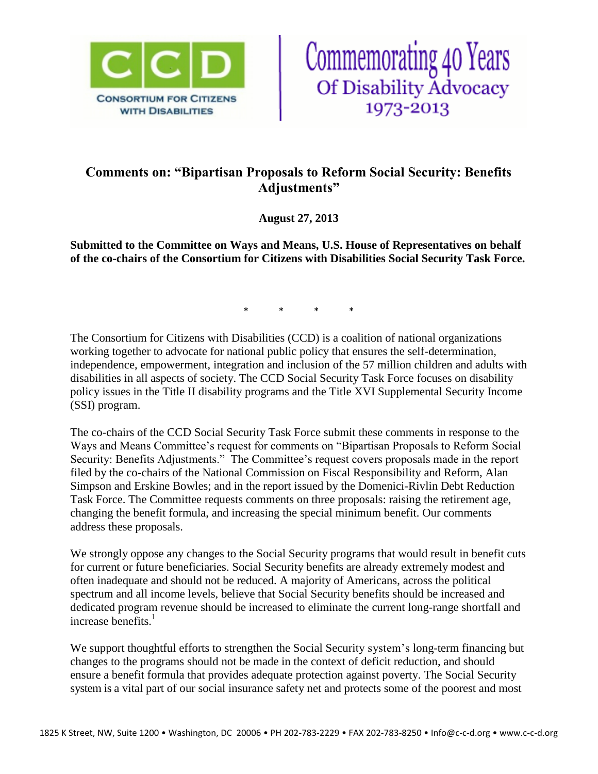



# **Comments on: "Bipartisan Proposals to Reform Social Security: Benefits Adjustments"**

**August 27, 2013**

**Submitted to the Committee on Ways and Means, U.S. House of Representatives on behalf of the co-chairs of the Consortium for Citizens with Disabilities Social Security Task Force.**

\* \* \* \*

The Consortium for Citizens with Disabilities (CCD) is a coalition of national organizations working together to advocate for national public policy that ensures the self-determination, independence, empowerment, integration and inclusion of the 57 million children and adults with disabilities in all aspects of society. The CCD Social Security Task Force focuses on disability policy issues in the Title II disability programs and the Title XVI Supplemental Security Income (SSI) program.

The co-chairs of the CCD Social Security Task Force submit these comments in response to the Ways and Means Committee's request for comments on "Bipartisan Proposals to Reform Social Security: Benefits Adjustments." The Committee's request covers proposals made in the report filed by the co-chairs of the National Commission on Fiscal Responsibility and Reform, Alan Simpson and Erskine Bowles; and in the report issued by the Domenici-Rivlin Debt Reduction Task Force. The Committee requests comments on three proposals: raising the retirement age, changing the benefit formula, and increasing the special minimum benefit. Our comments address these proposals.

We strongly oppose any changes to the Social Security programs that would result in benefit cuts for current or future beneficiaries. Social Security benefits are already extremely modest and often inadequate and should not be reduced. A majority of Americans, across the political spectrum and all income levels, believe that Social Security benefits should be increased and dedicated program revenue should be increased to eliminate the current long-range shortfall and increase benefits. $<sup>1</sup>$ </sup>

We support thoughtful efforts to strengthen the Social Security system's long-term financing but changes to the programs should not be made in the context of deficit reduction, and should ensure a benefit formula that provides adequate protection against poverty. The Social Security system is a vital part of our social insurance safety net and protects some of the poorest and most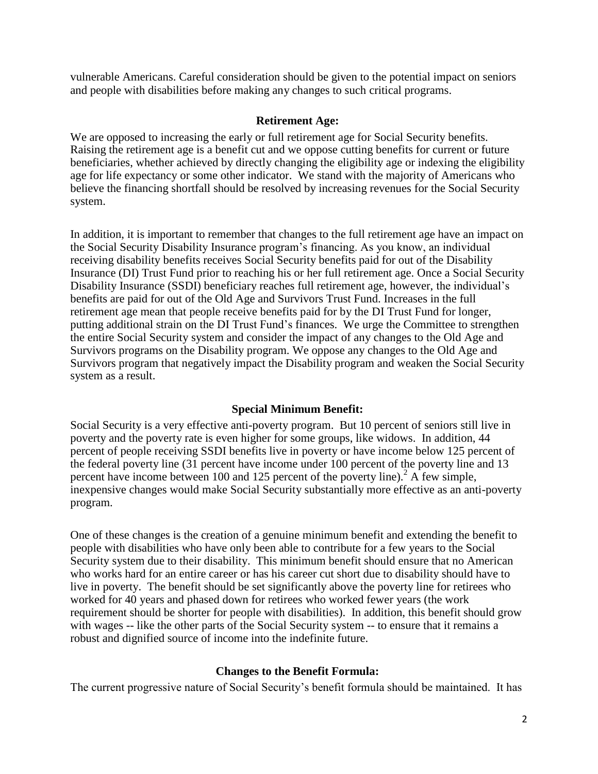vulnerable Americans. Careful consideration should be given to the potential impact on seniors and people with disabilities before making any changes to such critical programs.

### **Retirement Age:**

We are opposed to increasing the early or full retirement age for Social Security benefits. Raising the retirement age is a benefit cut and we oppose cutting benefits for current or future beneficiaries, whether achieved by directly changing the eligibility age or indexing the eligibility age for life expectancy or some other indicator. We stand with the majority of Americans who believe the financing shortfall should be resolved by increasing revenues for the Social Security system.

In addition, it is important to remember that changes to the full retirement age have an impact on the Social Security Disability Insurance program's financing. As you know, an individual receiving disability benefits receives Social Security benefits paid for out of the Disability Insurance (DI) Trust Fund prior to reaching his or her full retirement age. Once a Social Security Disability Insurance (SSDI) beneficiary reaches full retirement age, however, the individual's benefits are paid for out of the Old Age and Survivors Trust Fund. Increases in the full retirement age mean that people receive benefits paid for by the DI Trust Fund for longer, putting additional strain on the DI Trust Fund's finances. We urge the Committee to strengthen the entire Social Security system and consider the impact of any changes to the Old Age and Survivors programs on the Disability program. We oppose any changes to the Old Age and Survivors program that negatively impact the Disability program and weaken the Social Security system as a result.

## **Special Minimum Benefit:**

Social Security is a very effective anti-poverty program. But 10 percent of seniors still live in poverty and the poverty rate is even higher for some groups, like widows. In addition, 44 percent of people receiving SSDI benefits live in poverty or have income below 125 percent of the federal poverty line (31 percent have income under 100 percent of the poverty line and 13 percent have income between 100 and 125 percent of the poverty line).<sup>2</sup> A few simple, inexpensive changes would make Social Security substantially more effective as an anti-poverty program.

One of these changes is the creation of a genuine minimum benefit and extending the benefit to people with disabilities who have only been able to contribute for a few years to the Social Security system due to their disability. This minimum benefit should ensure that no American who works hard for an entire career or has his career cut short due to disability should have to live in poverty. The benefit should be set significantly above the poverty line for retirees who worked for 40 years and phased down for retirees who worked fewer years (the work requirement should be shorter for people with disabilities). In addition, this benefit should grow with wages -- like the other parts of the Social Security system -- to ensure that it remains a robust and dignified source of income into the indefinite future.

## **Changes to the Benefit Formula:**

The current progressive nature of Social Security's benefit formula should be maintained. It has